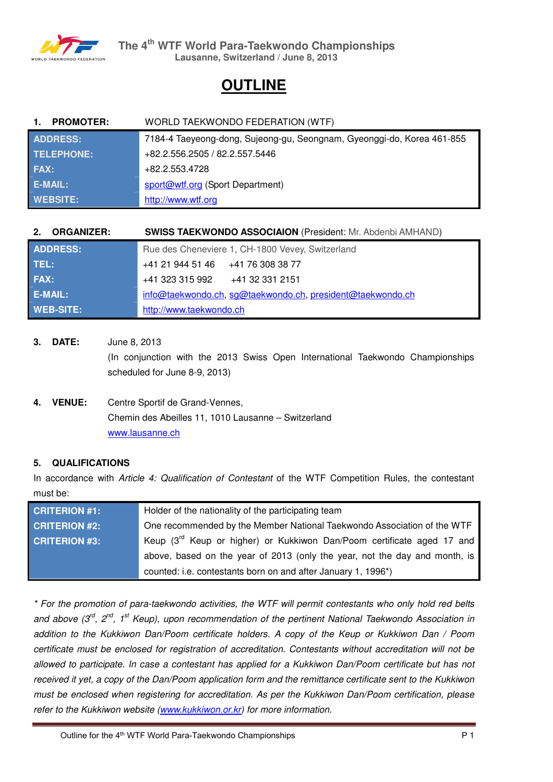

# **OUTLINE**

| <b>PROMOTER:</b><br>$\mathbf{1}$ | WORLD TAEKWONDO FEDERATION (WTF)                                       |
|----------------------------------|------------------------------------------------------------------------|
| <b>ADDRESS:</b>                  | 7184-4 Taeyeong-dong, Sujeong-gu, Seongnam, Gyeonggi-do, Korea 461-855 |
| TELEPHONE:                       | +82.2.556.2505 / 82.2.557.5446                                         |
| <b>FAX:</b>                      | +82.2.553.4728                                                         |
| <b>E-MAIL:</b>                   | sport@wtf.org (Sport Department)                                       |
| <b>WEBSITE:</b>                  | http://www.wtf.org                                                     |

| <b>ORGANIZER:</b><br>2. | <b>SWISS TAEKWONDO ASSOCIAION (President: Mr. Abdenbi AMHAND)</b> |
|-------------------------|-------------------------------------------------------------------|
| <b>ADDRESS:</b>         | Rue des Cheneviere 1, CH-1800 Vevey, Switzerland                  |
| TEL:                    | $+41$ 21 944 51 46 $+41$ 76 308 38 77                             |
| FAX:                    | $+41$ 323 315 992 $+41$ 32 331 2151                               |
| E-MAIL:                 | info@taekwondo.ch, sg@taekwondo.ch, president@taekwondo.ch        |
| <b>WEB-SITE:</b>        | http://www.taekwondo.ch                                           |

- **3. DATE:** June 8, 2013 (In conjunction with the 2013 Swiss Open International Taekwondo Championships scheduled for June 8-9, 2013)
- **4. VENUE:** Centre Sportif de Grand-Vennes, Chemin des Abeilles 11, 1010 Lausanne – Switzerland www.lausanne.ch

# **5. QUALIFICATIONS**

In accordance with *Article 4: Qualification of Contestant* of the WTF Competition Rules, the contestant must be:

| <b>CRITERION #1:</b> | Holder of the nationality of the participating team                                |
|----------------------|------------------------------------------------------------------------------------|
| <b>CRITERION #2:</b> | One recommended by the Member National Taekwondo Association of the WTF            |
| <b>CRITERION #3:</b> | Keup (3 <sup>rd</sup> Keup or higher) or Kukkiwon Dan/Poom certificate aged 17 and |
|                      | above, based on the year of 2013 (only the year, not the day and month, is         |
|                      | counted: i.e. contestants born on and after January 1, 1996*)                      |

*\* For the promotion of para-taekwondo activities, the WTF will permit contestants who only hold red belts and above (3rd, 2nd, 1st Keup), upon recommendation of the pertinent National Taekwondo Association in addition to the Kukkiwon Dan/Poom certificate holders. A copy of the Keup or Kukkiwon Dan / Poom certificate must be enclosed for registration of accreditation. Contestants without accreditation will not be allowed to participate. In case a contestant has applied for a Kukkiwon Dan/Poom certificate but has not received it yet, a copy of the Dan/Poom application form and the remittance certificate sent to the Kukkiwon must be enclosed when registering for accreditation. As per the Kukkiwon Dan/Poom certification, please refer to the Kukkiwon website (www.kukkiwon.or.kr) for more information.*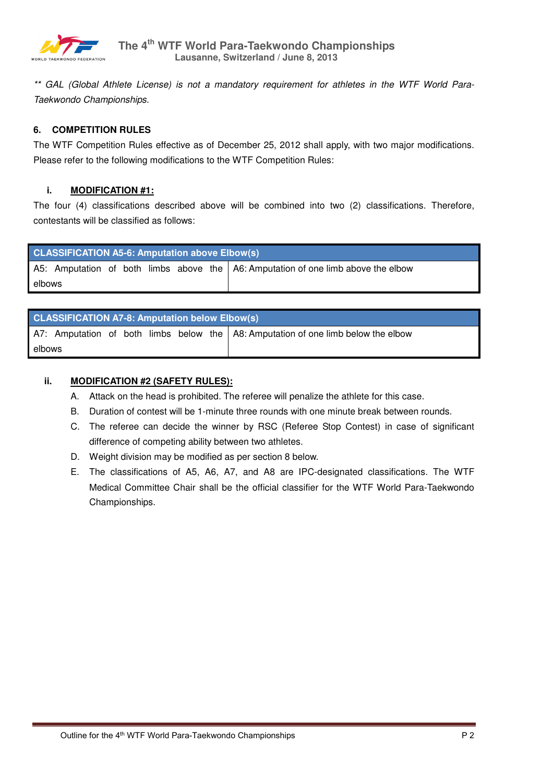

*\*\* GAL (Global Athlete License) is not a mandatory requirement for athletes in the WTF World Para-Taekwondo Championships.* 

# **6. COMPETITION RULES**

The WTF Competition Rules effective as of December 25, 2012 shall apply, with two major modifications. Please refer to the following modifications to the WTF Competition Rules:

### **i. MODIFICATION #1:**

The four (4) classifications described above will be combined into two (2) classifications. Therefore, contestants will be classified as follows:

|        | <b>CLASSIFICATION A5-6: Amputation above Elbow(s)</b>                             |  |  |  |  |  |  |
|--------|-----------------------------------------------------------------------------------|--|--|--|--|--|--|
|        | A5: Amputation of both limbs above the A6: Amputation of one limb above the elbow |  |  |  |  |  |  |
| elbows |                                                                                   |  |  |  |  |  |  |

|        | <b>CLASSIFICATION A7-8: Amputation below Elbow(s)</b>                             |  |  |  |  |  |  |
|--------|-----------------------------------------------------------------------------------|--|--|--|--|--|--|
|        | A7: Amputation of both limbs below the A8: Amputation of one limb below the elbow |  |  |  |  |  |  |
| elbows |                                                                                   |  |  |  |  |  |  |

# **ii. MODIFICATION #2 (SAFETY RULES):**

- A. Attack on the head is prohibited. The referee will penalize the athlete for this case.
- B. Duration of contest will be 1-minute three rounds with one minute break between rounds.
- C. The referee can decide the winner by RSC (Referee Stop Contest) in case of significant difference of competing ability between two athletes.
- D. Weight division may be modified as per section 8 below.
- E. The classifications of A5, A6, A7, and A8 are IPC-designated classifications. The WTF Medical Committee Chair shall be the official classifier for the WTF World Para-Taekwondo Championships.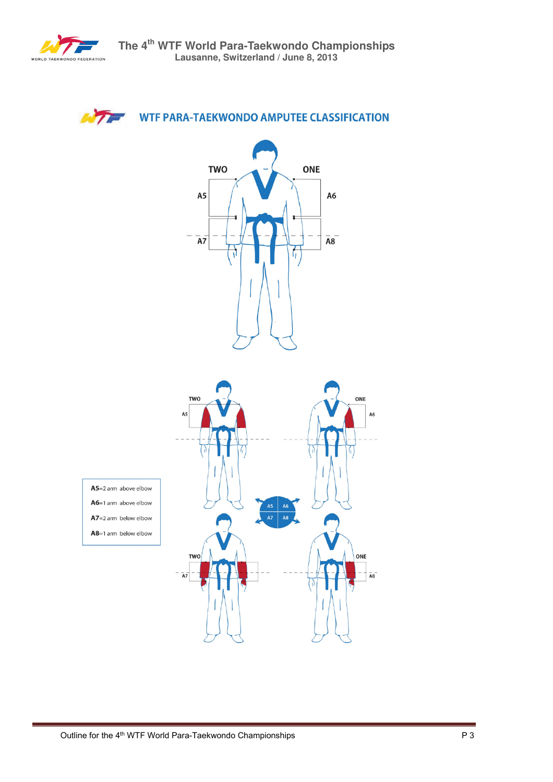

# **WTF PARA-TAEKWONDO AMPUTEE CLASSIFICATION**

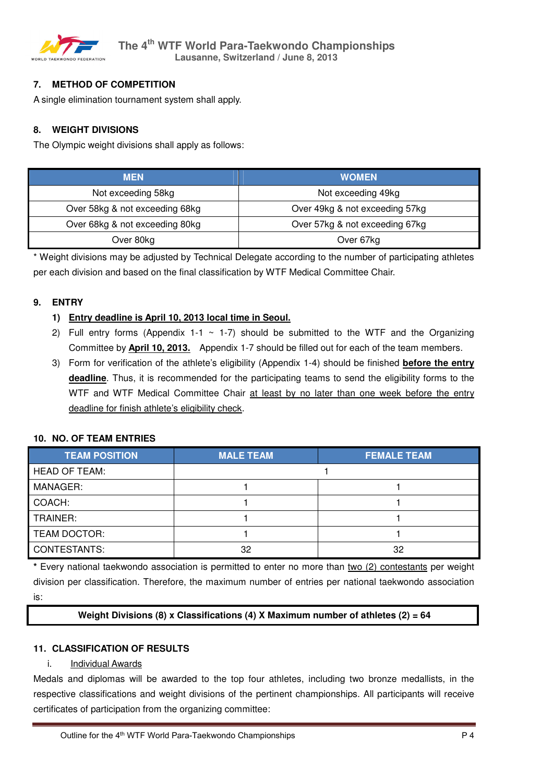

# **7. METHOD OF COMPETITION**

A single elimination tournament system shall apply.

# **8. WEIGHT DIVISIONS**

The Olympic weight divisions shall apply as follows:

| <b>MEN</b>                     | <b>WOMEN</b>                   |
|--------------------------------|--------------------------------|
| Not exceeding 58kg             | Not exceeding 49kg             |
| Over 58kg & not exceeding 68kg | Over 49kg & not exceeding 57kg |
| Over 68kg & not exceeding 80kg | Over 57kg & not exceeding 67kg |
| Over 80kg                      | Over 67kg                      |

\* Weight divisions may be adjusted by Technical Delegate according to the number of participating athletes per each division and based on the final classification by WTF Medical Committee Chair.

### **9. ENTRY**

# **1) Entry deadline is April 10, 2013 local time in Seoul.**

- 2) Full entry forms (Appendix 1-1  $\sim$  1-7) should be submitted to the WTF and the Organizing Committee by **April 10, 2013.** Appendix 1-7 should be filled out for each of the team members.
- 3) Form for verification of the athlete's eligibility (Appendix 1-4) should be finished **before the entry deadline**. Thus, it is recommended for the participating teams to send the eligibility forms to the WTF and WTF Medical Committee Chair at least by no later than one week before the entry deadline for finish athlete's eligibility check.

### **10. NO. OF TEAM ENTRIES**

| <b>TEAM POSITION</b> | <b>MALE TEAM</b> | <b>FEMALE TEAM</b> |
|----------------------|------------------|--------------------|
| <b>HEAD OF TEAM:</b> |                  |                    |
| MANAGER:             |                  |                    |
| COACH:               |                  |                    |
| TRAINER:             |                  |                    |
| TEAM DOCTOR:         |                  |                    |
| CONTESTANTS:         | 32               | 32                 |

**\*** Every national taekwondo association is permitted to enter no more than two (2) contestants per weight division per classification. Therefore, the maximum number of entries per national taekwondo association is:

# **Weight Divisions (8) x Classifications (4) X Maximum number of athletes (2) = 64**

### **11. CLASSIFICATION OF RESULTS**

i. Individual Awards

Medals and diplomas will be awarded to the top four athletes, including two bronze medallists, in the respective classifications and weight divisions of the pertinent championships. All participants will receive certificates of participation from the organizing committee: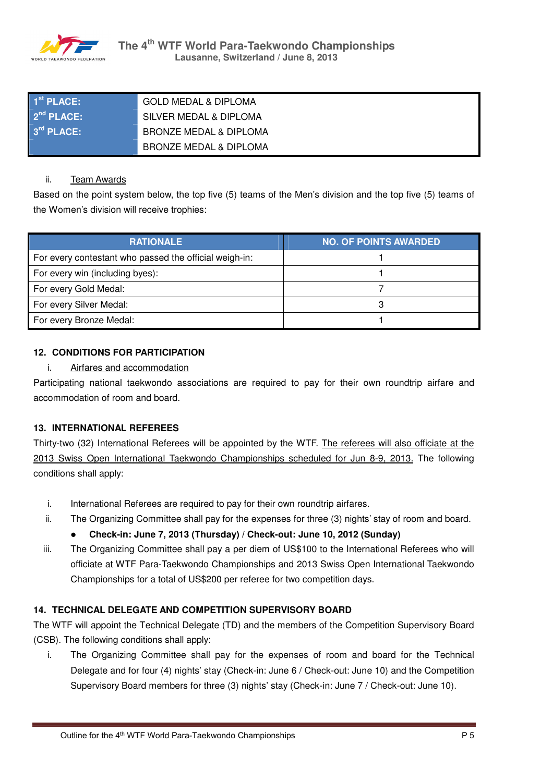

| $1st$ PLACE:           | <b>GOLD MEDAL &amp; DIPLOMA</b>   |
|------------------------|-----------------------------------|
| 2 <sup>nd</sup> PLACE: | SILVER MEDAL & DIPLOMA            |
| $3rd$ PLACE:           | BRONZE MEDAL & DIPLOMA            |
|                        | <b>BRONZE MEDAL &amp; DIPLOMA</b> |

### ii. Team Awards

Based on the point system below, the top five (5) teams of the Men's division and the top five (5) teams of the Women's division will receive trophies:

| <b>RATIONALE</b>                                       | <b>NO. OF POINTS AWARDED</b> |
|--------------------------------------------------------|------------------------------|
| For every contestant who passed the official weigh-in: |                              |
| For every win (including byes):                        |                              |
| For every Gold Medal:                                  |                              |
| For every Silver Medal:                                |                              |
| For every Bronze Medal:                                |                              |

# **12. CONDITIONS FOR PARTICIPATION**

### i. Airfares and accommodation

Participating national taekwondo associations are required to pay for their own roundtrip airfare and accommodation of room and board.

# **13. INTERNATIONAL REFEREES**

Thirty-two (32) International Referees will be appointed by the WTF. The referees will also officiate at the 2013 Swiss Open International Taekwondo Championships scheduled for Jun 8-9, 2013. The following conditions shall apply:

- i. International Referees are required to pay for their own roundtrip airfares.
- ii. The Organizing Committee shall pay for the expenses for three (3) nights' stay of room and board.
	- **Check-in: June 7, 2013 (Thursday) / Check-out: June 10, 2012 (Sunday)**
- iii. The Organizing Committee shall pay a per diem of US\$100 to the International Referees who will officiate at WTF Para-Taekwondo Championships and 2013 Swiss Open International Taekwondo Championships for a total of US\$200 per referee for two competition days.

# **14. TECHNICAL DELEGATE AND COMPETITION SUPERVISORY BOARD**

The WTF will appoint the Technical Delegate (TD) and the members of the Competition Supervisory Board (CSB). The following conditions shall apply:

i. The Organizing Committee shall pay for the expenses of room and board for the Technical Delegate and for four (4) nights' stay (Check-in: June 6 / Check-out: June 10) and the Competition Supervisory Board members for three (3) nights' stay (Check-in: June 7 / Check-out: June 10).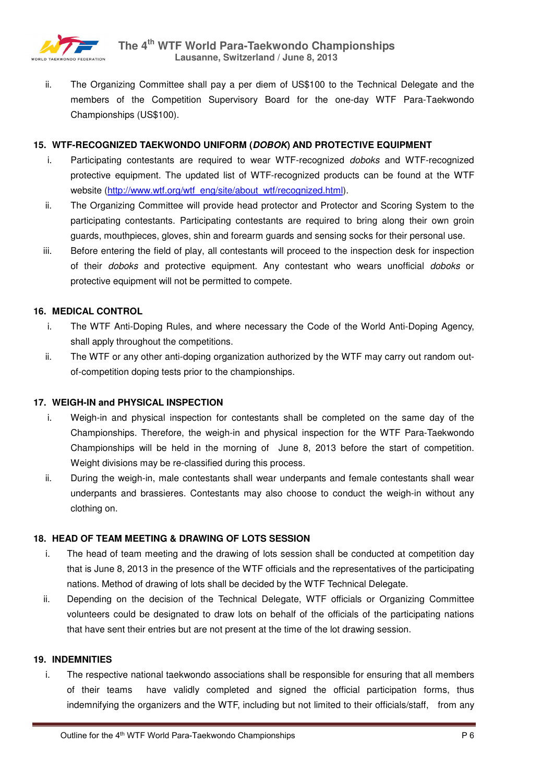

ii. The Organizing Committee shall pay a per diem of US\$100 to the Technical Delegate and the members of the Competition Supervisory Board for the one-day WTF Para-Taekwondo Championships (US\$100).

### **15. WTF-RECOGNIZED TAEKWONDO UNIFORM (***DOBOK***) AND PROTECTIVE EQUIPMENT**

- i. Participating contestants are required to wear WTF-recognized *doboks* and WTF-recognized protective equipment. The updated list of WTF-recognized products can be found at the WTF website (http://www.wtf.org/wtf\_eng/site/about\_wtf/recognized.html).
- ii. The Organizing Committee will provide head protector and Protector and Scoring System to the participating contestants. Participating contestants are required to bring along their own groin guards, mouthpieces, gloves, shin and forearm guards and sensing socks for their personal use.
- iii. Before entering the field of play, all contestants will proceed to the inspection desk for inspection of their *doboks* and protective equipment. Any contestant who wears unofficial *doboks* or protective equipment will not be permitted to compete.

### **16. MEDICAL CONTROL**

- i. The WTF Anti-Doping Rules, and where necessary the Code of the World Anti-Doping Agency, shall apply throughout the competitions.
- ii. The WTF or any other anti-doping organization authorized by the WTF may carry out random outof-competition doping tests prior to the championships.

### **17. WEIGH-IN and PHYSICAL INSPECTION**

- i. Weigh-in and physical inspection for contestants shall be completed on the same day of the Championships. Therefore, the weigh-in and physical inspection for the WTF Para-Taekwondo Championships will be held in the morning of June 8, 2013 before the start of competition. Weight divisions may be re-classified during this process.
- ii. During the weigh-in, male contestants shall wear underpants and female contestants shall wear underpants and brassieres. Contestants may also choose to conduct the weigh-in without any clothing on.

### **18. HEAD OF TEAM MEETING & DRAWING OF LOTS SESSION**

- i. The head of team meeting and the drawing of lots session shall be conducted at competition day that is June 8, 2013 in the presence of the WTF officials and the representatives of the participating nations. Method of drawing of lots shall be decided by the WTF Technical Delegate.
- ii. Depending on the decision of the Technical Delegate, WTF officials or Organizing Committee volunteers could be designated to draw lots on behalf of the officials of the participating nations that have sent their entries but are not present at the time of the lot drawing session.

### **19. INDEMNITIES**

i. The respective national taekwondo associations shall be responsible for ensuring that all members of their teams have validly completed and signed the official participation forms, thus indemnifying the organizers and the WTF, including but not limited to their officials/staff, from any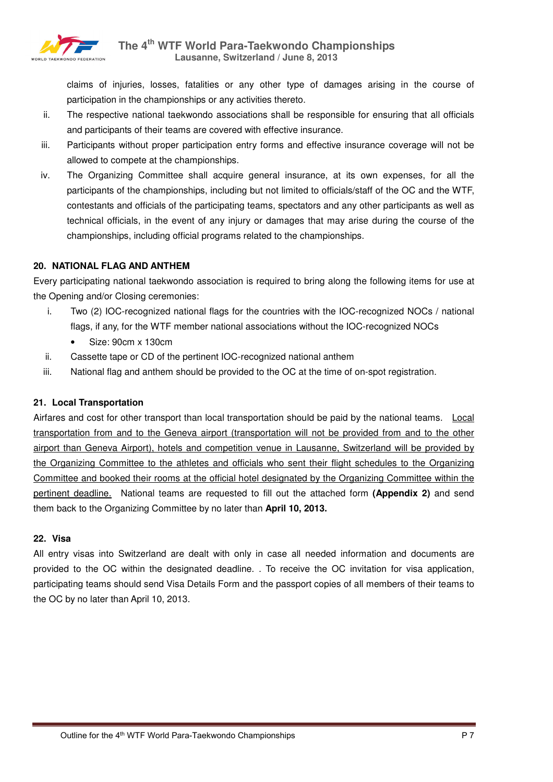

claims of injuries, losses, fatalities or any other type of damages arising in the course of participation in the championships or any activities thereto.

- ii. The respective national taekwondo associations shall be responsible for ensuring that all officials and participants of their teams are covered with effective insurance.
- iii. Participants without proper participation entry forms and effective insurance coverage will not be allowed to compete at the championships.
- iv. The Organizing Committee shall acquire general insurance, at its own expenses, for all the participants of the championships, including but not limited to officials/staff of the OC and the WTF, contestants and officials of the participating teams, spectators and any other participants as well as technical officials, in the event of any injury or damages that may arise during the course of the championships, including official programs related to the championships.

# **20. NATIONAL FLAG AND ANTHEM**

Every participating national taekwondo association is required to bring along the following items for use at the Opening and/or Closing ceremonies:

- i. Two (2) IOC-recognized national flags for the countries with the IOC-recognized NOCs / national flags, if any, for the WTF member national associations without the IOC-recognized NOCs
	- Size: 90cm x 130cm
- ii. Cassette tape or CD of the pertinent IOC-recognized national anthem
- iii. National flag and anthem should be provided to the OC at the time of on-spot registration.

### **21. Local Transportation**

Airfares and cost for other transport than local transportation should be paid by the national teams. Local transportation from and to the Geneva airport (transportation will not be provided from and to the other airport than Geneva Airport), hotels and competition venue in Lausanne, Switzerland will be provided by the Organizing Committee to the athletes and officials who sent their flight schedules to the Organizing Committee and booked their rooms at the official hotel designated by the Organizing Committee within the pertinent deadline. National teams are requested to fill out the attached form **(Appendix 2)** and send them back to the Organizing Committee by no later than **April 10, 2013.**

### **22. Visa**

All entry visas into Switzerland are dealt with only in case all needed information and documents are provided to the OC within the designated deadline. . To receive the OC invitation for visa application, participating teams should send Visa Details Form and the passport copies of all members of their teams to the OC by no later than April 10, 2013.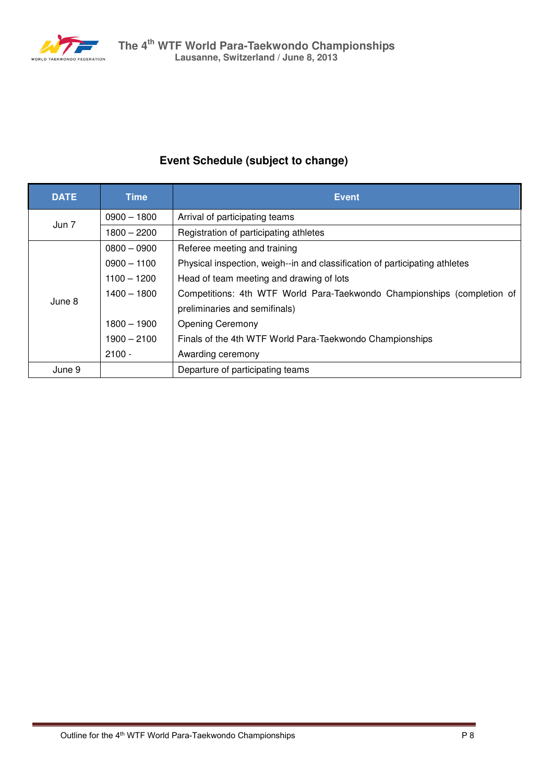

# **Event Schedule (subject to change)**

| <b>DATE</b> | <b>Time</b>   | <b>Event</b>                                                                |  |  |  |
|-------------|---------------|-----------------------------------------------------------------------------|--|--|--|
| Jun 7       | $0900 - 1800$ | Arrival of participating teams                                              |  |  |  |
|             | $1800 - 2200$ | Registration of participating athletes                                      |  |  |  |
|             | $0800 - 0900$ | Referee meeting and training                                                |  |  |  |
|             | $0900 - 1100$ | Physical inspection, weigh--in and classification of participating athletes |  |  |  |
|             | $1100 - 1200$ | Head of team meeting and drawing of lots                                    |  |  |  |
| June 8      | $1400 - 1800$ | Competitions: 4th WTF World Para-Taekwondo Championships (completion of     |  |  |  |
|             |               | preliminaries and semifinals)                                               |  |  |  |
|             | $1800 - 1900$ | <b>Opening Ceremony</b>                                                     |  |  |  |
|             | $1900 - 2100$ | Finals of the 4th WTF World Para-Taekwondo Championships                    |  |  |  |
|             | $2100 -$      | Awarding ceremony                                                           |  |  |  |
| June 9      |               | Departure of participating teams                                            |  |  |  |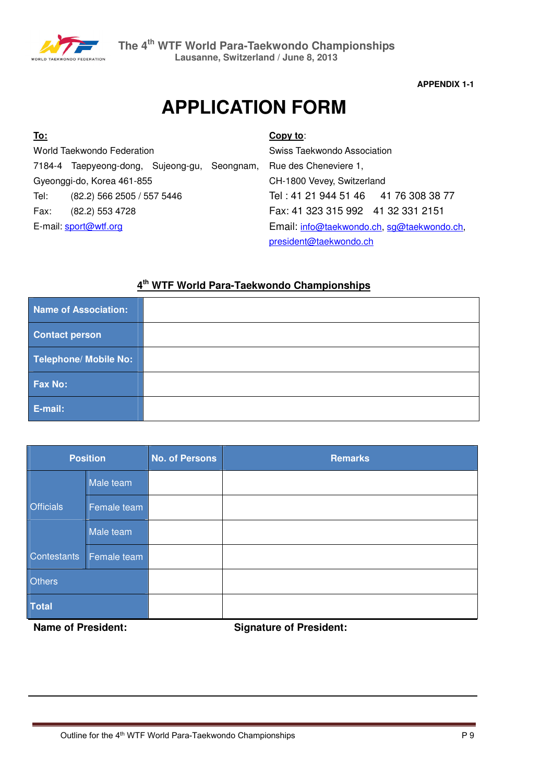

# **APPLICATION FORM**

| <u>To:</u> |                                              |  | Copy to:                                   |                                      |  |
|------------|----------------------------------------------|--|--------------------------------------------|--------------------------------------|--|
|            | World Taekwondo Federation                   |  | Swiss Taekwondo Association                |                                      |  |
|            | 7184-4 Taepyeong-dong, Sujeong-gu, Seongnam, |  |                                            | Rue des Cheneviere 1,                |  |
|            | Gyeonggi-do, Korea 461-855                   |  |                                            | CH-1800 Vevey, Switzerland           |  |
| Tel:       | (82.2) 566 2505 / 557 5446                   |  |                                            | Tel: 41 21 944 51 46 41 76 308 38 77 |  |
| Fax:       | (82.2) 553 4728                              |  |                                            | Fax: 41 323 315 992 41 32 331 2151   |  |
|            | E-mail: sport@wtf.org                        |  | Email: info@taekwondo.ch, sg@taekwondo.ch, |                                      |  |
|            |                                              |  |                                            | president@taekwondo.ch               |  |

# **4 th WTF World Para-Taekwondo Championships**

| Name of Association:  |  |
|-----------------------|--|
| <b>Contact person</b> |  |
| Telephone/ Mobile No: |  |
| Fax No:               |  |
| E-mail:               |  |

| <b>Position</b>  |             | <b>No. of Persons</b> | <b>Remarks</b> |
|------------------|-------------|-----------------------|----------------|
|                  | Male team   |                       |                |
| <b>Officials</b> | Female team |                       |                |
|                  | Male team   |                       |                |
| Contestants      | Female team |                       |                |
| <b>Others</b>    |             |                       |                |
| <b>Total</b>     |             |                       |                |

**Name of President:** Signature of President: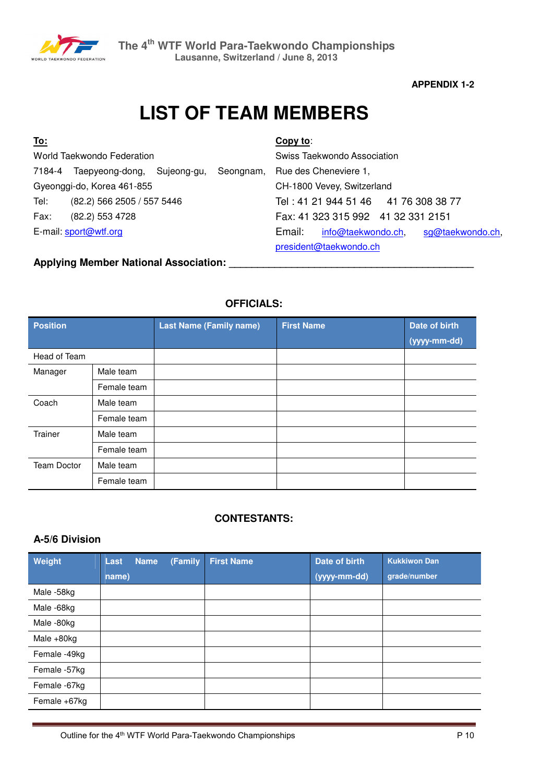

# **LIST OF TEAM MEMBERS**

| <u>To:</u>                         |                             |  |           | Copy to:                                         |
|------------------------------------|-----------------------------|--|-----------|--------------------------------------------------|
|                                    | World Taekwondo Federation  |  |           | Swiss Taekwondo Association                      |
| 7184-4                             | Taepyeong-dong, Sujeong-gu, |  | Seongnam, | Rue des Cheneviere 1,                            |
|                                    | Gyeonggi-do, Korea 461-855  |  |           | CH-1800 Vevey, Switzerland                       |
| Tel:<br>(82.2) 566 2505 / 557 5446 |                             |  |           | Tel: 41 21 944 51 46 41 76 308 38 77             |
| (82.2) 553 4728<br>Fax:            |                             |  |           | Fax: 41 323 315 992 41 32 331 2151               |
|                                    | E-mail: sport@wtf.org       |  |           | Email:<br>info@taekwondo.ch,<br>sg@taekwondo.ch, |
|                                    |                             |  |           | president@taekwondo.ch                           |
|                                    |                             |  |           |                                                  |

**Applying Member National Association: \_\_\_\_\_\_\_\_\_\_\_\_\_\_\_\_\_\_\_\_\_\_\_\_\_\_\_\_\_\_\_\_\_\_\_\_\_\_\_\_\_\_\_** 

# **OFFICIALS:**

| <b>Position</b>    |             | <b>Last Name (Family name)</b> | <b>First Name</b> | Date of birth |
|--------------------|-------------|--------------------------------|-------------------|---------------|
|                    |             |                                |                   | (yyyy-mm-dd)  |
| Head of Team       |             |                                |                   |               |
| Manager            | Male team   |                                |                   |               |
|                    | Female team |                                |                   |               |
| Coach              | Male team   |                                |                   |               |
|                    | Female team |                                |                   |               |
| Trainer            | Male team   |                                |                   |               |
|                    | Female team |                                |                   |               |
| <b>Team Doctor</b> | Male team   |                                |                   |               |
|                    | Female team |                                |                   |               |

# **CONTESTANTS:**

# **A-5/6 Division**

| Weight        | <b>Name</b><br>Last | (Family | <b>First Name</b> | Date of birth | <b>Kukkiwon Dan</b> |
|---------------|---------------------|---------|-------------------|---------------|---------------------|
|               | name)               |         |                   | (yyyy-mm-dd)  | grade/number        |
| Male -58kg    |                     |         |                   |               |                     |
| Male -68kg    |                     |         |                   |               |                     |
| Male -80kg    |                     |         |                   |               |                     |
| Male $+80$ kg |                     |         |                   |               |                     |
| Female -49kg  |                     |         |                   |               |                     |
| Female -57kg  |                     |         |                   |               |                     |
| Female -67kg  |                     |         |                   |               |                     |
| Female +67kg  |                     |         |                   |               |                     |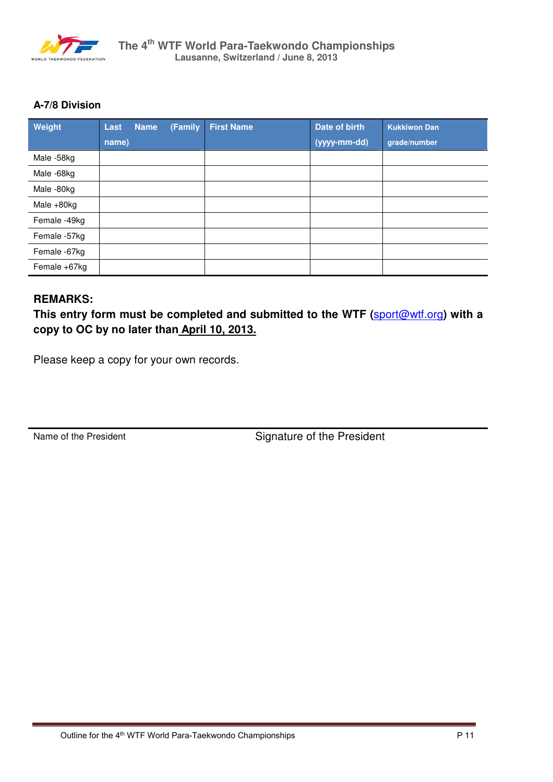

# **A-7/8 Division**

| Weight        | Last  | <b>Name</b> | (Family | <b>First Name</b> | Date of birth | <b>Kukkiwon Dan</b> |
|---------------|-------|-------------|---------|-------------------|---------------|---------------------|
|               | name) |             |         |                   | (yyyy-mm-dd)  | grade/number        |
| Male -58kg    |       |             |         |                   |               |                     |
| Male -68kg    |       |             |         |                   |               |                     |
| Male -80kg    |       |             |         |                   |               |                     |
| Male $+80$ kg |       |             |         |                   |               |                     |
| Female -49kg  |       |             |         |                   |               |                     |
| Female -57kg  |       |             |         |                   |               |                     |
| Female -67kg  |       |             |         |                   |               |                     |
| Female +67kg  |       |             |         |                   |               |                     |

# **REMARKS:**

**This entry form must be completed and submitted to the WTF (**sport@wtf.org**) with a copy to OC by no later than April 10, 2013.**

Please keep a copy for your own records.

Name of the President Signature of the President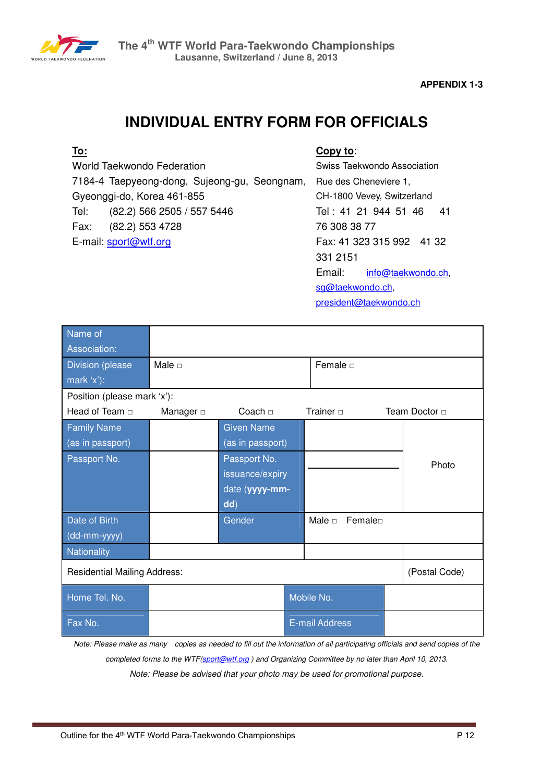

# **INDIVIDUAL ENTRY FORM FOR OFFICIALS**

# **To:**

World Taekwondo Federation 7184-4 Taepyeong-dong, Sujeong-gu, Seongnam, Gyeonggi-do, Korea 461-855 Tel: (82.2) 566 2505 / 557 5446 Fax: (82.2) 553 4728 E-mail: sport@wtf.org

# **Copy to**:

Swiss Taekwondo Association Rue des Cheneviere 1, CH-1800 Vevey, Switzerland Tel : 41 21 944 51 46 41 76 308 38 77 Fax: 41 323 315 992 41 32 331 2151 Email: info@taekwondo.ch, sg@taekwondo.ch, president@taekwondo.ch

| Name of<br>Association:             |             |                   |                        |                    |
|-------------------------------------|-------------|-------------------|------------------------|--------------------|
| <b>Division (please</b>             | Male $\Box$ |                   | Female D               |                    |
| mark 'x'):                          |             |                   |                        |                    |
| Position (please mark 'x'):         |             |                   |                        |                    |
| Head of Team $\Box$                 | Manager D   | Coach $\Box$      | Trainer $\Box$         | Team Doctor $\Box$ |
| <b>Family Name</b>                  |             | <b>Given Name</b> |                        |                    |
| (as in passport)                    |             | (as in passport)  |                        |                    |
| Passport No.                        |             | Passport No.      |                        | Photo              |
|                                     |             | issuance/expiry   |                        |                    |
|                                     |             | date (yyyy-mm-    |                        |                    |
|                                     |             | dd)               |                        |                    |
| Date of Birth                       |             | Gender            | Male $\Box$<br>Femalen |                    |
| (dd-mm-yyyy)                        |             |                   |                        |                    |
| Nationality                         |             |                   |                        |                    |
| <b>Residential Mailing Address:</b> |             |                   |                        | (Postal Code)      |
| Home Tel. No.                       |             |                   | Mobile No.             |                    |
| Fax No.                             |             |                   | <b>E-mail Address</b>  |                    |

*Note: Please make as many copies as needed to fill out the information of all participating officials and send copies of the completed forms to the WTF(sport@wtf.org ) and Organizing Committee by no later than April 10, 2013. Note: Please be advised that your photo may be used for promotional purpose.*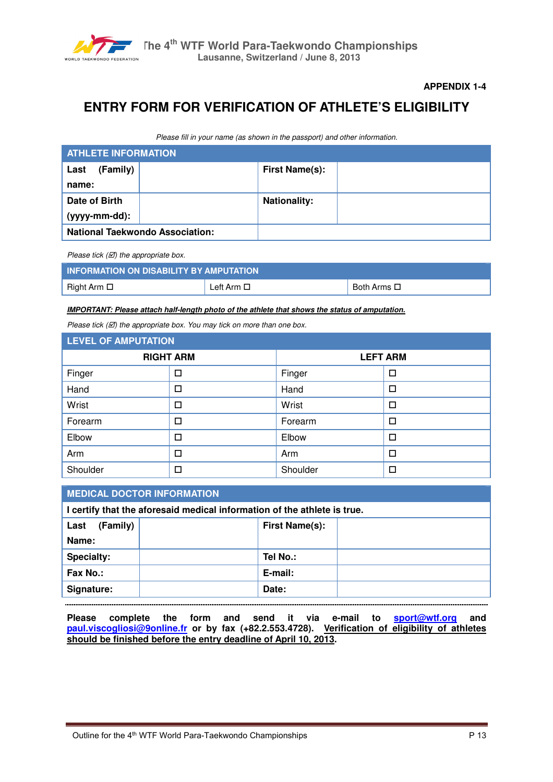

# **ENTRY FORM FOR VERIFICATION OF ATHLETE'S ELIGIBILITY**

*Please fill in your name (as shown in the passport) and other information.* 

| <b>ATHLETE INFORMATION</b>             |                       |  |  |  |  |
|----------------------------------------|-----------------------|--|--|--|--|
| (Family)<br>Last                       | <b>First Name(s):</b> |  |  |  |  |
| name:                                  |                       |  |  |  |  |
| Date of Birth                          | <b>Nationality:</b>   |  |  |  |  |
| (yyyy-mm-dd):                          |                       |  |  |  |  |
| <b>National Taekwondo Association:</b> |                       |  |  |  |  |

*Please tick (* $\boxtimes$ *)* the appropriate box.

| INFORMATION ON DISABILITY BY AMPUTATION |                    |                    |  |  |  |
|-----------------------------------------|--------------------|--------------------|--|--|--|
| Right Arm □                             | Left Arm $\square$ | Both Arms <b>□</b> |  |  |  |

*IMPORTANT: Please attach half-length photo of the athlete that shows the status of amputation.*

*Please tick (* $\boxtimes$ *)* the appropriate box. You may tick on more than one box.

| <b>LEVEL OF AMPUTATION</b> |                  |                 |        |  |
|----------------------------|------------------|-----------------|--------|--|
|                            | <b>RIGHT ARM</b> | <b>LEFT ARM</b> |        |  |
| Finger                     | □                | Finger          | □      |  |
| Hand                       | □                | Hand            | $\Box$ |  |
| Wrist                      | □                | Wrist           | □      |  |
| Forearm                    | □                | Forearm         | П      |  |
| Elbow                      | □                | Elbow           | □      |  |
| Arm                        | □                | Arm             | П      |  |
| Shoulder                   | □                | Shoulder        | □      |  |

### **MEDICAL DOCTOR INFORMATION**

**I certify that the aforesaid medical information of the athlete is true. Last (Family) Name: First Name(s):**  Specialty:  $\vert$  **Tel No.: Fax No.: E-mail:**  Signature: **Date: Date: Date:** 

**Please complete the form and send it via e-mail to sport@wtf.org and paul.viscogliosi@9online.fr or by fax (+82.2.553.4728). Verification of eligibility of athletes should be finished before the entry deadline of April 10, 2013.**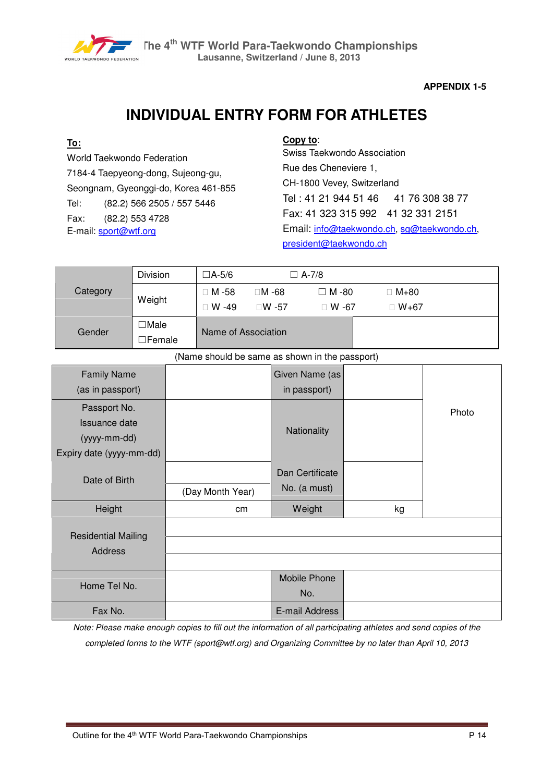

# **INDIVIDUAL ENTRY FORM FOR ATHLETES**

# **To:**

World Taekwondo Federation 7184-4 Taepyeong-dong, Sujeong-gu, Seongnam, Gyeonggi-do, Korea 461-855 Tel: (82.2) 566 2505 / 557 5446 Fax: (82.2) 553 4728 E-mail: sport@wtf.org

# **Copy to**:

Swiss Taekwondo Association Rue des Cheneviere 1, CH-1800 Vevey, Switzerland Tel: 41 21 944 51 46 41 76 308 38 77 Fax: 41 323 315 992 41 32 331 2151 Email: info@taekwondo.ch, sg@taekwondo.ch, president@taekwondo.ch

|          | Division         | $\Box$ A-5/6        |       | $\Box$ A-7/8 |          |  |
|----------|------------------|---------------------|-------|--------------|----------|--|
| Category | Weight           | M-58                | M-68  | $\Box$ M -80 | $M + 80$ |  |
|          |                  | W -49               | W -57 | W -67        | $W + 67$ |  |
| Gender   | ∃Male<br>∃Female | Name of Association |       |              |          |  |

(Name should be same as shown in the passport)

| <b>Family Name</b>         |                  | Given Name (as  |    |       |
|----------------------------|------------------|-----------------|----|-------|
| (as in passport)           |                  | in passport)    |    |       |
| Passport No.               |                  |                 |    | Photo |
| Issuance date              |                  | Nationality     |    |       |
| (yyyy-mm-dd)               |                  |                 |    |       |
| Expiry date (yyyy-mm-dd)   |                  |                 |    |       |
|                            |                  | Dan Certificate |    |       |
| Date of Birth              | (Day Month Year) | No. (a must)    |    |       |
|                            |                  |                 |    |       |
| Height                     | cm               | Weight          | kg |       |
| <b>Residential Mailing</b> |                  |                 |    |       |
| Address                    |                  |                 |    |       |
|                            |                  |                 |    |       |
| Home Tel No.               |                  | Mobile Phone    |    |       |
|                            |                  | No.             |    |       |
| Fax No.                    |                  | E-mail Address  |    |       |

*Note: Please make enough copies to fill out the information of all participating athletes and send copies of the completed forms to the WTF (sport@wtf.org) and Organizing Committee by no later than April 10, 2013*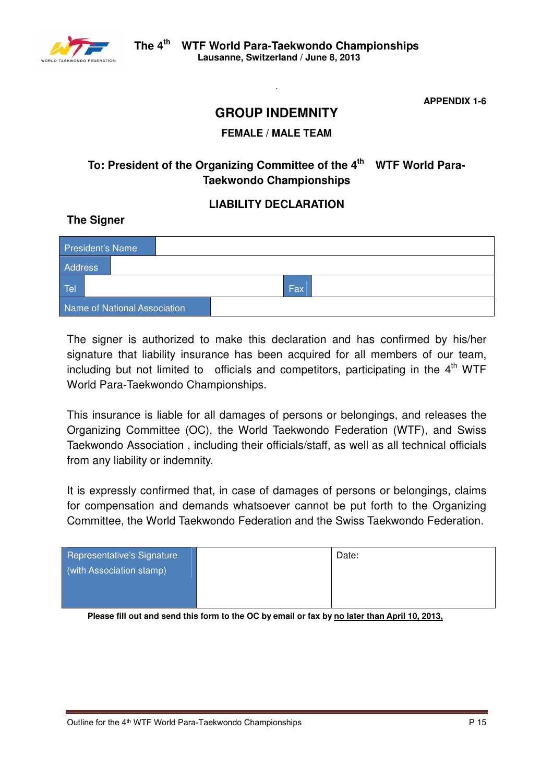

# **GROUP INDEMNITY**

*.* 

# **FEMALE / MALE TEAM**

# **To: President of the Organizing Committee of the 4th WTF World Para-Taekwondo Championships**

# **LIABILITY DECLARATION**

# **The Signer**

| President's Name |                              |            |  |
|------------------|------------------------------|------------|--|
| <b>Address</b>   |                              |            |  |
| Tel              |                              | <b>Fax</b> |  |
|                  | Name of National Association |            |  |

The signer is authorized to make this declaration and has confirmed by his/her signature that liability insurance has been acquired for all members of our team, including but not limited to officials and competitors, participating in the  $4<sup>th</sup>$  WTF World Para-Taekwondo Championships.

This insurance is liable for all damages of persons or belongings, and releases the Organizing Committee (OC), the World Taekwondo Federation (WTF), and Swiss Taekwondo Association , including their officials/staff, as well as all technical officials from any liability or indemnity.

It is expressly confirmed that, in case of damages of persons or belongings, claims for compensation and demands whatsoever cannot be put forth to the Organizing Committee, the World Taekwondo Federation and the Swiss Taekwondo Federation.

| Representative's Signature | Date: |
|----------------------------|-------|
| (with Association stamp)   |       |
|                            |       |
|                            |       |

**Please fill out and send this form to the OC by email or fax by no later than April 10, 2013,**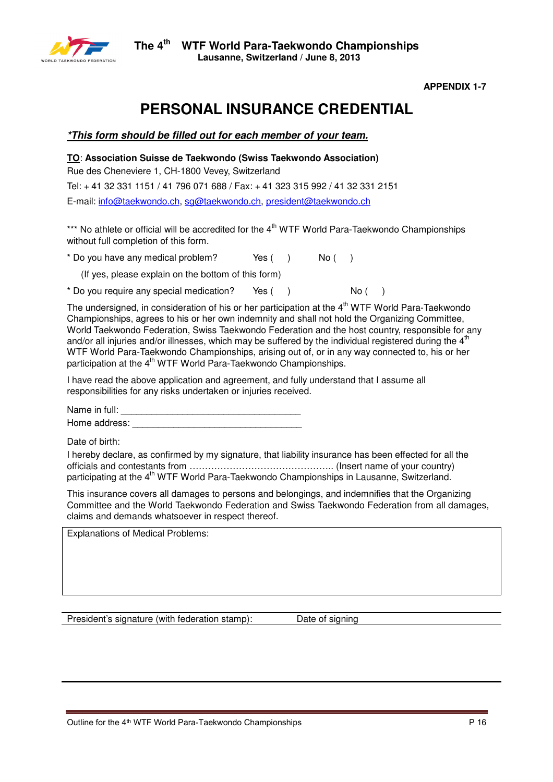

# **PERSONAL INSURANCE CREDENTIAL**

# *\*This form should be filled out for each member of your team.*

**TO**: **Association Suisse de Taekwondo (Swiss Taekwondo Association)**

Rue des Cheneviere 1, CH-1800 Vevey, Switzerland

Tel: + 41 32 331 1151 / 41 796 071 688 / Fax: + 41 323 315 992 / 41 32 331 2151

E-mail: info@taekwondo.ch, sg@taekwondo.ch, president@taekwondo.ch

\*\*\* No athlete or official will be accredited for the  $4<sup>th</sup>$  WTF World Para-Taekwondo Championships without full completion of this form.

 $*$  Do you have any medical problem? Yes ( ) No ( )

(If yes, please explain on the bottom of this form)

\* Do you require any special medication? Yes () No ()

The undersigned, in consideration of his or her participation at the  $4<sup>th</sup> WTF$  World Para-Taekwondo Championships, agrees to his or her own indemnity and shall not hold the Organizing Committee, World Taekwondo Federation, Swiss Taekwondo Federation and the host country, responsible for any and/or all injuries and/or illnesses, which may be suffered by the individual registered during the  $4<sup>th</sup>$ WTF World Para-Taekwondo Championships, arising out of, or in any way connected to, his or her participation at the 4<sup>th</sup> WTF World Para-Taekwondo Championships.

I have read the above application and agreement, and fully understand that I assume all responsibilities for any risks undertaken or injuries received.

Name in full: Home address:

Date of birth:

I hereby declare, as confirmed by my signature, that liability insurance has been effected for all the officials and contestants from ……………………………………….. (Insert name of your country) participating at the  $4<sup>th</sup>$  WTF World Para-Taekwondo Championships in Lausanne, Switzerland.

This insurance covers all damages to persons and belongings, and indemnifies that the Organizing Committee and the World Taekwondo Federation and Swiss Taekwondo Federation from all damages, claims and demands whatsoever in respect thereof.

Explanations of Medical Problems:

President's signature (with federation stamp): Date of signing

Outline for the 4<sup>th</sup> WTF World Para-Taekwondo Championships **P** 16